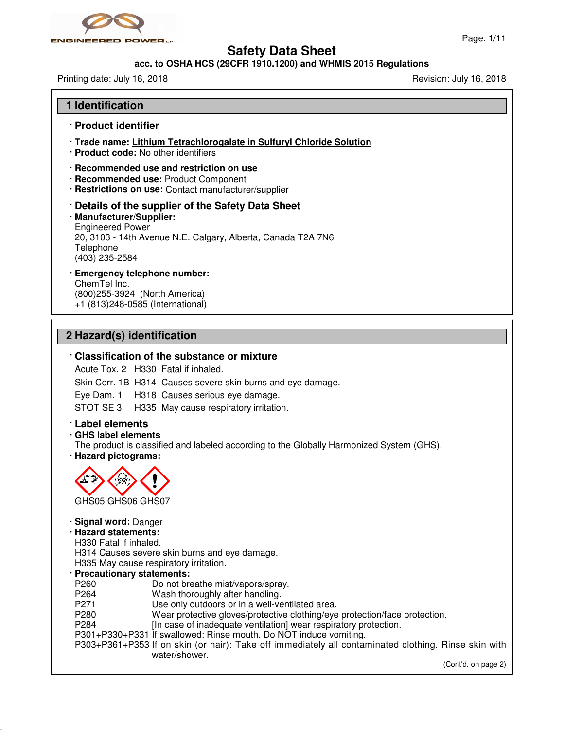

## **acc. to OSHA HCS (29CFR 1910.1200) and WHMIS 2015 Regulations**

Printing date: July 16, 2018 **Printing date: July 16, 2018** 

| 1 Identification                                                                                                                                                                                                                                                                                                                                                                                                                                                                                                                                                                                                                                                                                                                          |
|-------------------------------------------------------------------------------------------------------------------------------------------------------------------------------------------------------------------------------------------------------------------------------------------------------------------------------------------------------------------------------------------------------------------------------------------------------------------------------------------------------------------------------------------------------------------------------------------------------------------------------------------------------------------------------------------------------------------------------------------|
| · Product identifier                                                                                                                                                                                                                                                                                                                                                                                                                                                                                                                                                                                                                                                                                                                      |
| · Trade name: Lithium Tetrachlorogalate in Sulfuryl Chloride Solution<br>· Product code: No other identifiers                                                                                                                                                                                                                                                                                                                                                                                                                                                                                                                                                                                                                             |
| · Recommended use and restriction on use<br>· Recommended use: Product Component<br>· Restrictions on use: Contact manufacturer/supplier                                                                                                                                                                                                                                                                                                                                                                                                                                                                                                                                                                                                  |
| Details of the supplier of the Safety Data Sheet<br>· Manufacturer/Supplier:<br><b>Engineered Power</b><br>20, 3103 - 14th Avenue N.E. Calgary, Alberta, Canada T2A 7N6<br>Telephone<br>(403) 235-2584                                                                                                                                                                                                                                                                                                                                                                                                                                                                                                                                    |
| <b>Emergency telephone number:</b><br>ChemTel Inc.<br>(800) 255-3924 (North America)<br>+1 (813)248-0585 (International)                                                                                                                                                                                                                                                                                                                                                                                                                                                                                                                                                                                                                  |
| 2 Hazard(s) identification                                                                                                                                                                                                                                                                                                                                                                                                                                                                                                                                                                                                                                                                                                                |
| Classification of the substance or mixture<br>Acute Tox. 2 H330 Fatal if inhaled.<br>Skin Corr. 1B H314 Causes severe skin burns and eye damage.<br>Eye Dam. 1 H318 Causes serious eye damage.<br>STOT SE 3 H335 May cause respiratory irritation.<br><b>Label elements</b><br>· GHS label elements<br>The product is classified and labeled according to the Globally Harmonized System (GHS).<br>· Hazard pictograms:                                                                                                                                                                                                                                                                                                                   |
| GHS05 GHS06 GHS07<br>· Signal word: Danger<br>· Hazard statements:<br>H330 Fatal if inhaled.<br>H314 Causes severe skin burns and eye damage.<br>H335 May cause respiratory irritation.<br>· Precautionary statements:<br>Do not breathe mist/vapors/spray.<br>P260<br>P264<br>Wash thoroughly after handling.<br>P271<br>Use only outdoors or in a well-ventilated area.<br>P280<br>Wear protective gloves/protective clothing/eye protection/face protection.<br>P284<br>[In case of inadequate ventilation] wear respiratory protection.<br>P301+P330+P331 If swallowed: Rinse mouth. Do NOT induce vomiting.<br>P303+P361+P353 If on skin (or hair): Take off immediately all contaminated clothing. Rinse skin with<br>water/shower. |
| (Cont'd. on page 2)                                                                                                                                                                                                                                                                                                                                                                                                                                                                                                                                                                                                                                                                                                                       |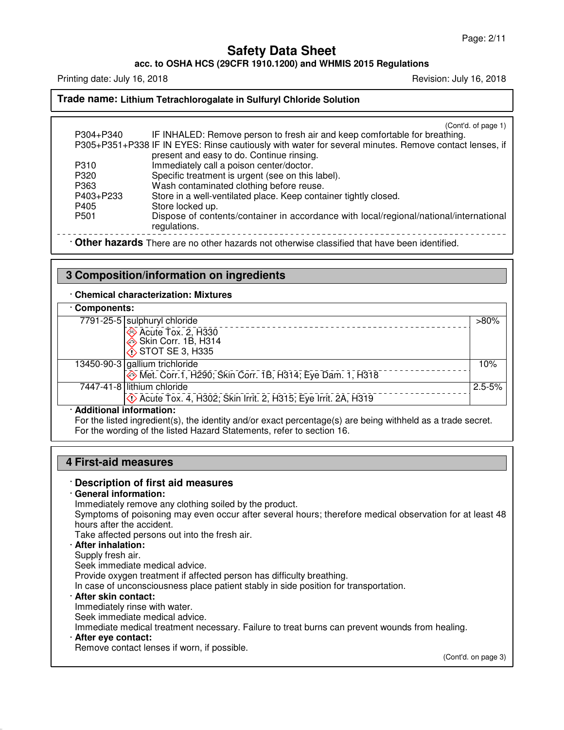**acc. to OSHA HCS (29CFR 1910.1200) and WHMIS 2015 Regulations**

Printing date: July 16, 2018 **Printing date: July 16, 2018** Revision: July 16, 2018

#### **Trade name: Lithium Tetrachlorogalate in Sulfuryl Chloride Solution**

(Cont'd. of page 1)

| P304+P340                                                                                    | IF INHALED: Remove person to fresh air and keep comfortable for breathing.                            |  |
|----------------------------------------------------------------------------------------------|-------------------------------------------------------------------------------------------------------|--|
|                                                                                              | P305+P351+P338 IF IN EYES: Rinse cautiously with water for several minutes. Remove contact lenses, if |  |
|                                                                                              | present and easy to do. Continue rinsing.                                                             |  |
| P310                                                                                         | Immediately call a poison center/doctor.                                                              |  |
| P320                                                                                         | Specific treatment is urgent (see on this label).                                                     |  |
| P363                                                                                         | Wash contaminated clothing before reuse.                                                              |  |
| P403+P233                                                                                    | Store in a well-ventilated place. Keep container tightly closed.                                      |  |
| P405                                                                                         | Store locked up.                                                                                      |  |
| P <sub>501</sub>                                                                             | Dispose of contents/container in accordance with local/regional/national/international                |  |
|                                                                                              | regulations.                                                                                          |  |
| Other hazards There are no other hazards not otherwise classified that have been identified. |                                                                                                       |  |

### **3 Composition/information on ingredients**

#### · **Chemical characterization: Mixtures**

| Components:                                                                    |            |  |
|--------------------------------------------------------------------------------|------------|--|
| 7791-25-5 sulphuryl chloride                                                   | $>80\%$    |  |
| Acute Tox. 2, H330<br>Skin Corr. 1B, H314<br>♦ STOT SE 3, H335                 |            |  |
|                                                                                |            |  |
|                                                                                |            |  |
| 13450-90-3 gallium trichloride                                                 | 10%        |  |
| Met. Corr.1, H290; Skin Corr. 1B, H314; Eye Dam. 1, H318                       |            |  |
| 7447-41-8 lithium chloride                                                     | $2.5 - 5%$ |  |
| <b>Example 20 Acute Tox. 4, H302; Skin Irrit. 2, H315; Eye Irrit. 2A, H319</b> |            |  |
| · Additional information:                                                      |            |  |

For the listed ingredient(s), the identity and/or exact percentage(s) are being withheld as a trade secret. For the wording of the listed Hazard Statements, refer to section 16.

#### **4 First-aid measures**

#### · **Description of first aid measures**

### · **General information:**

Immediately remove any clothing soiled by the product.

Symptoms of poisoning may even occur after several hours; therefore medical observation for at least 48 hours after the accident.

Take affected persons out into the fresh air.

## · **After inhalation:**

#### Supply fresh air.

Seek immediate medical advice.

Provide oxygen treatment if affected person has difficulty breathing.

In case of unconsciousness place patient stably in side position for transportation.

#### · **After skin contact:**

Immediately rinse with water.

Seek immediate medical advice.

Immediate medical treatment necessary. Failure to treat burns can prevent wounds from healing.

## · **After eye contact:**

Remove contact lenses if worn, if possible.

(Cont'd. on page 3)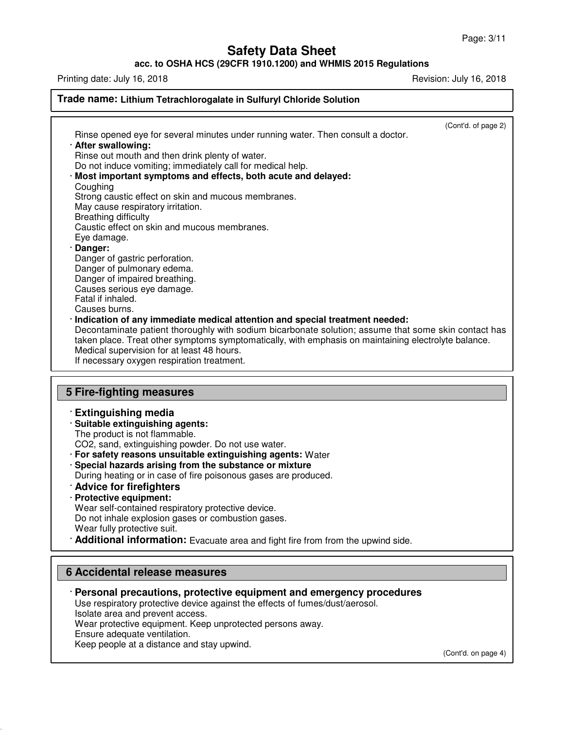### **acc. to OSHA HCS (29CFR 1910.1200) and WHMIS 2015 Regulations**

Printing date: July 16, 2018 **Printing date: July 16, 2018** 

| Trade name: Lithium Tetrachlorogalate in Sulfuryl Chloride Solution                                                                                                                                                                                                                                                                                                                                                                                                                                                                                                                                                                                                                                                                                                                                                                                                                                                                                                                                                                                                                              |  |  |
|--------------------------------------------------------------------------------------------------------------------------------------------------------------------------------------------------------------------------------------------------------------------------------------------------------------------------------------------------------------------------------------------------------------------------------------------------------------------------------------------------------------------------------------------------------------------------------------------------------------------------------------------------------------------------------------------------------------------------------------------------------------------------------------------------------------------------------------------------------------------------------------------------------------------------------------------------------------------------------------------------------------------------------------------------------------------------------------------------|--|--|
| (Cont'd. of page 2)<br>Rinse opened eye for several minutes under running water. Then consult a doctor.<br>· After swallowing:<br>Rinse out mouth and then drink plenty of water.<br>Do not induce vomiting; immediately call for medical help.<br>Most important symptoms and effects, both acute and delayed:<br>Coughing<br>Strong caustic effect on skin and mucous membranes.<br>May cause respiratory irritation.<br><b>Breathing difficulty</b><br>Caustic effect on skin and mucous membranes.<br>Eye damage.<br>Danger:<br>Danger of gastric perforation.<br>Danger of pulmonary edema.<br>Danger of impaired breathing.<br>Causes serious eye damage.<br>Fatal if inhaled.<br>Causes burns.<br>Indication of any immediate medical attention and special treatment needed:<br>Decontaminate patient thoroughly with sodium bicarbonate solution; assume that some skin contact has<br>taken place. Treat other symptoms symptomatically, with emphasis on maintaining electrolyte balance.<br>Medical supervision for at least 48 hours.<br>If necessary oxygen respiration treatment. |  |  |
| <b>5 Fire-fighting measures</b>                                                                                                                                                                                                                                                                                                                                                                                                                                                                                                                                                                                                                                                                                                                                                                                                                                                                                                                                                                                                                                                                  |  |  |
| <b>Extinguishing media</b><br>· Suitable extinguishing agents:<br>The product is not flammable.<br>CO2, sand, extinguishing powder. Do not use water.<br>· For safety reasons unsuitable extinguishing agents: Water<br>· Special hazards arising from the substance or mixture<br>During heating or in case of fire poisonous gases are produced.<br>Advice for firefighters<br>· Protective equipment:<br>Wear self-contained respiratory protective device.<br>Do not inhale explosion gases or combustion gases.<br>Wear fully protective suit.<br>Additional information: Evacuate area and fight fire from from the upwind side.                                                                                                                                                                                                                                                                                                                                                                                                                                                           |  |  |

## **6 Accidental release measures**

· **Personal precautions, protective equipment and emergency procedures**

Use respiratory protective device against the effects of fumes/dust/aerosol.

Isolate area and prevent access.

Wear protective equipment. Keep unprotected persons away.

Ensure adequate ventilation.

Keep people at a distance and stay upwind.

(Cont'd. on page 4)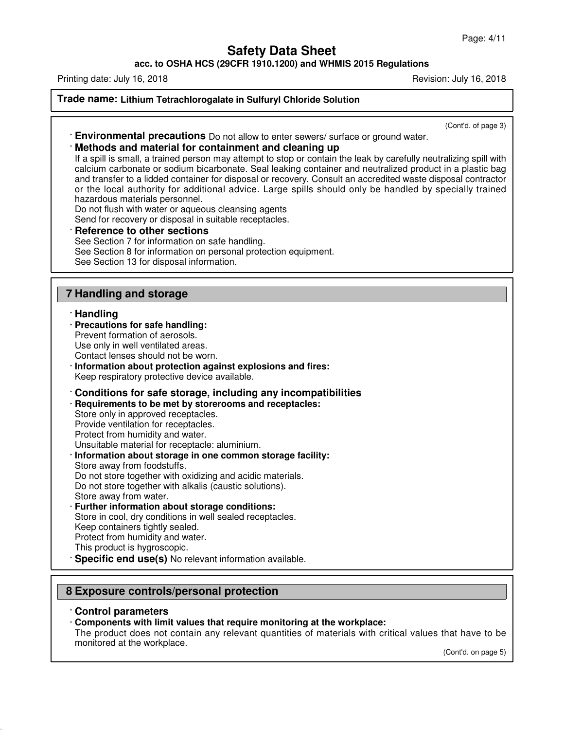**acc. to OSHA HCS (29CFR 1910.1200) and WHMIS 2015 Regulations**

Printing date: July 16, 2018 **Printing date: July 16, 2018** Revision: July 16, 2018

### **Trade name: Lithium Tetrachlorogalate in Sulfuryl Chloride Solution**

(Cont'd. of page 3)

· **Environmental precautions** Do not allow to enter sewers/ surface or ground water.

### · **Methods and material for containment and cleaning up**

If a spill is small, a trained person may attempt to stop or contain the leak by carefully neutralizing spill with calcium carbonate or sodium bicarbonate. Seal leaking container and neutralized product in a plastic bag and transfer to a lidded container for disposal or recovery. Consult an accredited waste disposal contractor or the local authority for additional advice. Large spills should only be handled by specially trained hazardous materials personnel.

Do not flush with water or aqueous cleansing agents Send for recovery or disposal in suitable receptacles.

**Reference to other sections** See Section 7 for information on safe handling. See Section 8 for information on personal protection equipment. See Section 13 for disposal information.

# **7 Handling and storage**

### · **Handling**

- · **Precautions for safe handling:**
- Prevent formation of aerosols.

Use only in well ventilated areas.

- Contact lenses should not be worn.
- · **Information about protection against explosions and fires:** Keep respiratory protective device available.
- · **Conditions for safe storage, including any incompatibilities**
- · **Requirements to be met by storerooms and receptacles:**

Store only in approved receptacles. Provide ventilation for receptacles. Protect from humidity and water.

- Unsuitable material for receptacle: aluminium.
- · **Information about storage in one common storage facility:** Store away from foodstuffs.
- Do not store together with oxidizing and acidic materials. Do not store together with alkalis (caustic solutions). Store away from water.
- **Further information about storage conditions:** Store in cool, dry conditions in well sealed receptacles. Keep containers tightly sealed. Protect from humidity and water. This product is hygroscopic.
- **Specific end use(s)** No relevant information available.

# **8 Exposure controls/personal protection**

#### · **Control parameters**

#### · **Components with limit values that require monitoring at the workplace:**

The product does not contain any relevant quantities of materials with critical values that have to be monitored at the workplace.

(Cont'd. on page 5)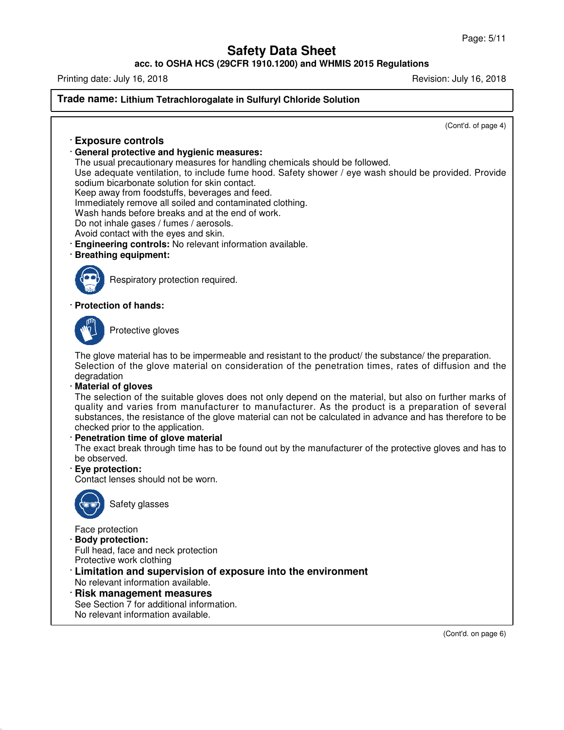**acc. to OSHA HCS (29CFR 1910.1200) and WHMIS 2015 Regulations**

Printing date: July 16, 2018 **Printing date: July 16, 2018** Revision: July 16, 2018

### **Trade name: Lithium Tetrachlorogalate in Sulfuryl Chloride Solution**

(Cont'd. of page 4)

## · **Exposure controls**

### · **General protective and hygienic measures:**

The usual precautionary measures for handling chemicals should be followed.

Use adequate ventilation, to include fume hood. Safety shower / eye wash should be provided. Provide sodium bicarbonate solution for skin contact.

Keep away from foodstuffs, beverages and feed.

Immediately remove all soiled and contaminated clothing.

Wash hands before breaks and at the end of work.

Do not inhale gases / fumes / aerosols.

Avoid contact with the eyes and skin.

· **Engineering controls:** No relevant information available.

#### · **Breathing equipment:**



Respiratory protection required.

#### · **Protection of hands:**



Protective gloves

The glove material has to be impermeable and resistant to the product/ the substance/ the preparation. Selection of the glove material on consideration of the penetration times, rates of diffusion and the degradation

#### · **Material of gloves**

The selection of the suitable gloves does not only depend on the material, but also on further marks of quality and varies from manufacturer to manufacturer. As the product is a preparation of several substances, the resistance of the glove material can not be calculated in advance and has therefore to be checked prior to the application.

#### · **Penetration time of glove material**

The exact break through time has to be found out by the manufacturer of the protective gloves and has to be observed.

#### · **Eye protection:**

Contact lenses should not be worn.



Safety glasses

Face protection

· **Body protection:**

Full head, face and neck protection

Protective work clothing

· **Limitation and supervision of exposure into the environment**

No relevant information available.

· **Risk management measures** See Section 7 for additional information.

No relevant information available.

(Cont'd. on page 6)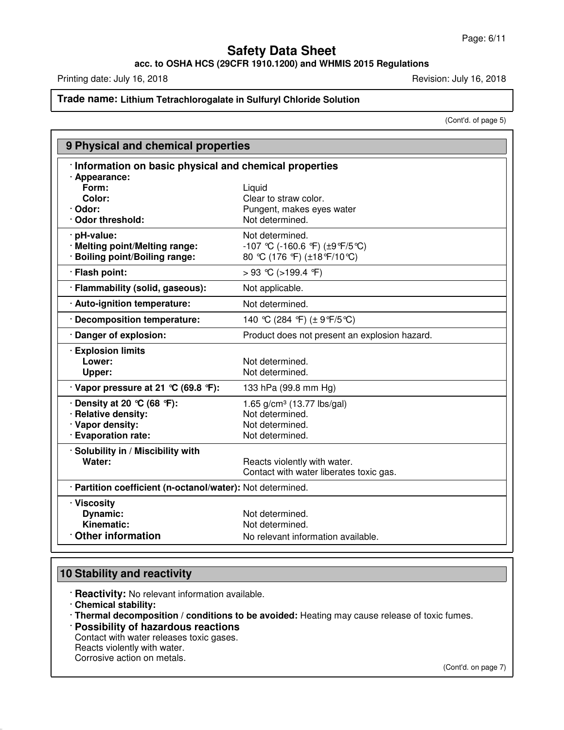**acc. to OSHA HCS (29CFR 1910.1200) and WHMIS 2015 Regulations**

Printing date: July 16, 2018 **Printing date: July 16, 2018** 

# **Trade name: Lithium Tetrachlorogalate in Sulfuryl Chloride Solution**

(Cont'd. of page 5)

| 9 Physical and chemical properties                         |                                               |  |
|------------------------------------------------------------|-----------------------------------------------|--|
| Information on basic physical and chemical properties      |                                               |  |
| · Appearance:<br>Form:                                     |                                               |  |
| Color:                                                     | Liquid<br>Clear to straw color.               |  |
| · Odor:                                                    | Pungent, makes eyes water                     |  |
| · Odor threshold:                                          | Not determined.                               |  |
| · pH-value:                                                | Not determined.                               |  |
| · Melting point/Melting range:                             | -107 °C (-160.6 °F) (±9°F/5°C)                |  |
| · Boiling point/Boiling range:                             | 80 °C (176 °F) (±18°F/10°C)                   |  |
| · Flash point:                                             | > 93 °C (>199.4 °F)                           |  |
| · Flammability (solid, gaseous):                           | Not applicable.                               |  |
| · Auto-ignition temperature:                               | Not determined.                               |  |
| · Decomposition temperature:                               | 140 °C (284 °F) (± 9°F/5 °C)                  |  |
| · Danger of explosion:                                     | Product does not present an explosion hazard. |  |
| <b>Explosion limits</b>                                    |                                               |  |
| Lower:                                                     | Not determined.                               |  |
| Upper:                                                     | Not determined.                               |  |
| $\cdot$ Vapor pressure at 21 °C (69.8 °F):                 | 133 hPa (99.8 mm Hg)                          |  |
| $\cdot$ Density at 20 °C (68 °F):                          | 1.65 $g/cm^3$ (13.77 lbs/gal)                 |  |
| · Relative density:                                        | Not determined.                               |  |
| · Vapor density:                                           | Not determined.                               |  |
| · Evaporation rate:                                        | Not determined.                               |  |
| · Solubility in / Miscibility with                         |                                               |  |
| Water:                                                     | Reacts violently with water.                  |  |
|                                                            | Contact with water liberates toxic gas.       |  |
| · Partition coefficient (n-octanol/water): Not determined. |                                               |  |
| · Viscosity                                                |                                               |  |
| <b>Dynamic:</b>                                            | Not determined.                               |  |
| Kinematic:                                                 | Not determined.                               |  |
| <b>Other information</b>                                   | No relevant information available.            |  |

# **10 Stability and reactivity**

· **Reactivity:** No relevant information available.

· **Chemical stability:**

· **Thermal decomposition / conditions to be avoided:** Heating may cause release of toxic fumes.

- · **Possibility of hazardous reactions** Contact with water releases toxic gases.
- Reacts violently with water.

Corrosive action on metals.

(Cont'd. on page 7)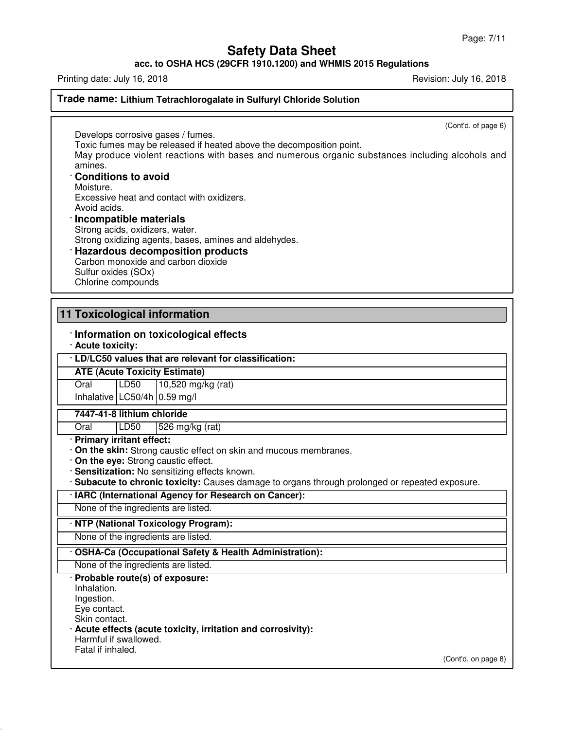**acc. to OSHA HCS (29CFR 1910.1200) and WHMIS 2015 Regulations**

Printing date: July 16, 2018 **Printing date: July 16, 2018** Revision: July 16, 2018

**Trade name: Lithium Tetrachlorogalate in Sulfuryl Chloride Solution**

(Cont'd. of page 6)

Develops corrosive gases / fumes. Toxic fumes may be released if heated above the decomposition point.

May produce violent reactions with bases and numerous organic substances including alcohols and amines.

### · **Conditions to avoid**

Moisture.

Excessive heat and contact with oxidizers.

Avoid acids.

· **Incompatible materials** Strong acids, oxidizers, water. Strong oxidizing agents, bases, amines and aldehydes.

# · **Hazardous decomposition products**

Carbon monoxide and carbon dioxide Sulfur oxides (SOx) Chlorine compounds

# **11 Toxicological information**

# · **Information on toxicological effects**

· **Acute toxicity:**

· **LD/LC50 values that are relevant for classification:**

### **ATE (Acute Toxicity Estimate)**

Oral LD50 10,520 mg/kg (rat) Inhalative LC50/4h 0.59 mg/l

**7447-41-8 lithium chloride**

Oral LD50 526 mg/kg (rat)

· **Primary irritant effect:**

- · **On the skin:** Strong caustic effect on skin and mucous membranes.
- · **On the eye:** Strong caustic effect.
- · **Sensitization:** No sensitizing effects known.
- · **Subacute to chronic toxicity:** Causes damage to organs through prolonged or repeated exposure.

### · **IARC (International Agency for Research on Cancer):**

None of the ingredients are listed.

### · **NTP (National Toxicology Program):**

None of the ingredients are listed.

### · **OSHA-Ca (Occupational Safety & Health Administration):**

None of the ingredients are listed.

# · **Probable route(s) of exposure:**

Inhalation. Ingestion.

Eye contact.

Skin contact.

- · **Acute effects (acute toxicity, irritation and corrosivity):**
- Harmful if swallowed.
- Fatal if inhaled.

(Cont'd. on page 8)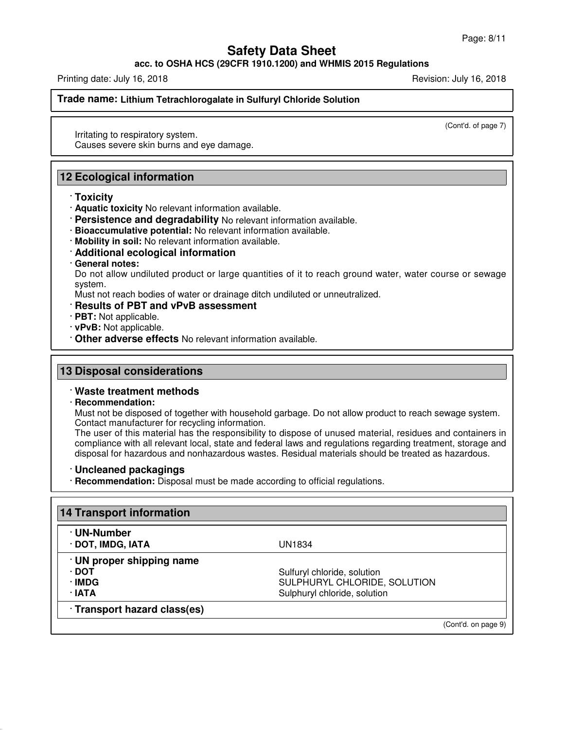### **acc. to OSHA HCS (29CFR 1910.1200) and WHMIS 2015 Regulations**

Printing date: July 16, 2018 **Printing date: July 16, 2018** Revision: July 16, 2018

**Trade name: Lithium Tetrachlorogalate in Sulfuryl Chloride Solution**

(Cont'd. of page 7)

Irritating to respiratory system. Causes severe skin burns and eye damage.

# **12 Ecological information**

### · **Toxicity**

- · **Aquatic toxicity** No relevant information available.
- · **Persistence and degradability** No relevant information available.
- · **Bioaccumulative potential:** No relevant information available.
- · **Mobility in soil:** No relevant information available.
- · **Additional ecological information**
- · **General notes:**

Do not allow undiluted product or large quantities of it to reach ground water, water course or sewage system.

Must not reach bodies of water or drainage ditch undiluted or unneutralized.

- · **Results of PBT and vPvB assessment**
- · **PBT:** Not applicable.
- · **vPvB:** Not applicable.
- · **Other adverse effects** No relevant information available.

## **13 Disposal considerations**

### · **Waste treatment methods**

#### · **Recommendation:**

Must not be disposed of together with household garbage. Do not allow product to reach sewage system. Contact manufacturer for recycling information.

The user of this material has the responsibility to dispose of unused material, residues and containers in compliance with all relevant local, state and federal laws and regulations regarding treatment, storage and disposal for hazardous and nonhazardous wastes. Residual materials should be treated as hazardous.

#### · **Uncleaned packagings**

· **Recommendation:** Disposal must be made according to official regulations.

| <b>14 Transport information</b>  |                              |                     |
|----------------------------------|------------------------------|---------------------|
| · UN-Number<br>· DOT, IMDG, IATA | UN1834                       |                     |
| · UN proper shipping name        |                              |                     |
| ∙ DOT                            | Sulfuryl chloride, solution  |                     |
| · IMDG                           | SULPHURYL CHLORIDE, SOLUTION |                     |
| ∙ IATA                           | Sulphuryl chloride, solution |                     |
| · Transport hazard class(es)     |                              |                     |
|                                  |                              | (Cont'd. on page 9) |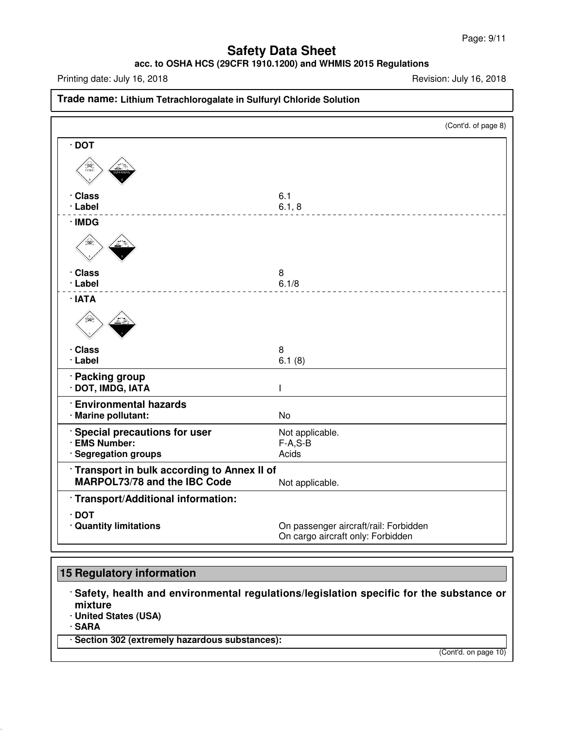# **acc. to OSHA HCS (29CFR 1910.1200) and WHMIS 2015 Regulations**

Printing date: July 16, 2018 **Printing date: July 16, 2018** 

| Trade name: Lithium Tetrachlorogalate in Sulfuryl Chloride Solution        |                                                                            |  |
|----------------------------------------------------------------------------|----------------------------------------------------------------------------|--|
|                                                                            | (Cont'd. of page 8)                                                        |  |
| $\cdot$ DOT                                                                |                                                                            |  |
| $\bigoplus_{\substack{\longleftarrow \\ \text{Toxic}}}$                    |                                                                            |  |
| · Class<br>· Label                                                         | 6.1<br>6.1, 8                                                              |  |
| · IMDG                                                                     |                                                                            |  |
|                                                                            |                                                                            |  |
| · Class                                                                    | 8                                                                          |  |
| · Label                                                                    | 6.1/8                                                                      |  |
| · IATA                                                                     |                                                                            |  |
| · Class<br>· Label                                                         | 8<br>6.1(8)                                                                |  |
| · Packing group<br>· DOT, IMDG, IATA                                       | T                                                                          |  |
| <b>Environmental hazards</b><br>· Marine pollutant:                        | <b>No</b>                                                                  |  |
| Special precautions for user<br>· EMS Number:<br>· Segregation groups      | Not applicable.<br>$F-A, S-B$<br>Acids                                     |  |
| Transport in bulk according to Annex II of<br>MARPOL73/78 and the IBC Code | Not applicable.                                                            |  |
| · Transport/Additional information:                                        |                                                                            |  |
| $\cdot$ DOT<br>· Quantity limitations                                      | On passenger aircraft/rail: Forbidden<br>On cargo aircraft only: Forbidden |  |

# **15 Regulatory information**

· **Safety, health and environmental regulations/legislation specific for the substance or mixture**

· **United States (USA)**

· **SARA**

· **Section 302 (extremely hazardous substances):**

(Cont'd. on page 10)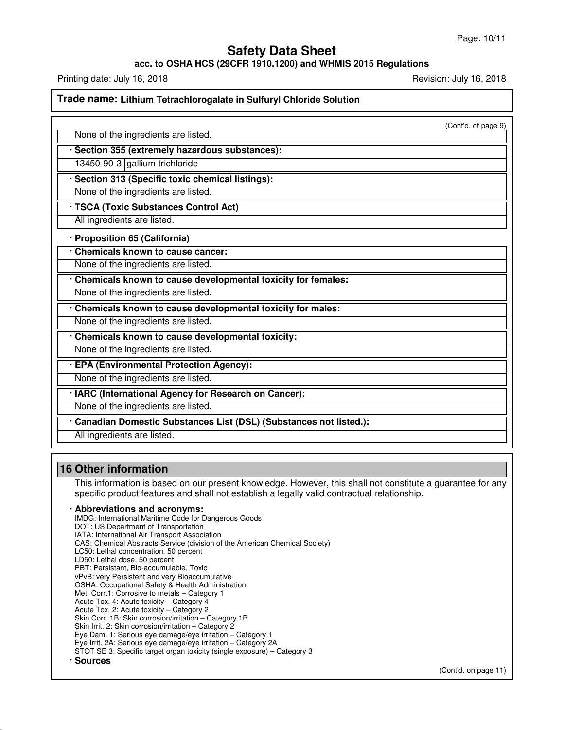## **acc. to OSHA HCS (29CFR 1910.1200) and WHMIS 2015 Regulations**

Printing date: July 16, 2018 **Printing date: July 16, 2018** Revision: July 16, 2018

### **Trade name: Lithium Tetrachlorogalate in Sulfuryl Chloride Solution**

(Cont'd. of page 9)

|  | None of the ingredients are listed. |  |
|--|-------------------------------------|--|
|--|-------------------------------------|--|

### · **Section 355 (extremely hazardous substances):**

13450-90-3 gallium trichloride

· **Section 313 (Specific toxic chemical listings):**

None of the ingredients are listed.

· **TSCA (Toxic Substances Control Act)**

All ingredients are listed.

· **Proposition 65 (California)**

· **Chemicals known to cause cancer:**

None of the ingredients are listed.

· **Chemicals known to cause developmental toxicity for females:**

None of the ingredients are listed.

· **Chemicals known to cause developmental toxicity for males:**

None of the ingredients are listed.

· **Chemicals known to cause developmental toxicity:**

None of the ingredients are listed.

· **EPA (Environmental Protection Agency):**

None of the ingredients are listed.

· **IARC (International Agency for Research on Cancer):**

None of the ingredients are listed.

· **Canadian Domestic Substances List (DSL) (Substances not listed.):**

All ingredients are listed.

### **16 Other information**

This information is based on our present knowledge. However, this shall not constitute a guarantee for any specific product features and shall not establish a legally valid contractual relationship.

#### · **Abbreviations and acronyms:**

IMDG: International Maritime Code for Dangerous Goods DOT: US Department of Transportation IATA: International Air Transport Association CAS: Chemical Abstracts Service (division of the American Chemical Society) LC50: Lethal concentration, 50 percent LD50: Lethal dose, 50 percent PBT: Persistant, Bio-accumulable, Toxic vPvB: very Persistent and very Bioaccumulative OSHA: Occupational Safety & Health Administration Met. Corr.1: Corrosive to metals – Category 1 Acute Tox. 4: Acute toxicity – Category 4 Acute Tox. 2: Acute toxicity – Category 2 Skin Corr. 1B: Skin corrosion/irritation – Category 1B Skin Irrit. 2: Skin corrosion/irritation – Category 2 Eye Dam. 1: Serious eye damage/eye irritation – Category 1 Eye Irrit. 2A: Serious eye damage/eye irritation – Category 2A STOT SE 3: Specific target organ toxicity (single exposure) – Category 3 · **Sources**

(Cont'd. on page 11)